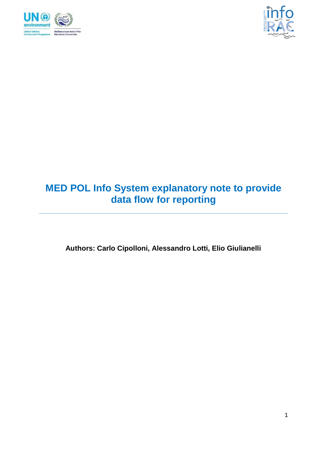



# **MED POL Info System explanatory note to provide data flow for reporting**

**Authors: Carlo Cipolloni, Alessandro Lotti, Elio Giulianelli**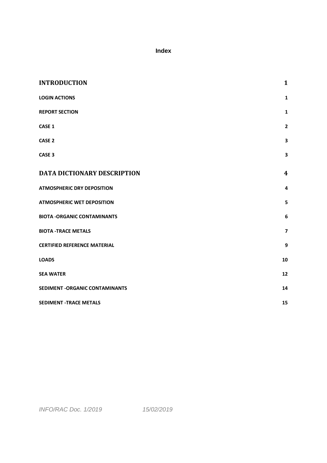### **Index**

| <b>INTRODUCTION</b>                 | $\mathbf{1}$            |
|-------------------------------------|-------------------------|
| <b>LOGIN ACTIONS</b>                | $\mathbf{1}$            |
| <b>REPORT SECTION</b>               | $\mathbf{1}$            |
| CASE 1                              | $\overline{\mathbf{2}}$ |
| <b>CASE 2</b>                       | 3                       |
| CASE <sub>3</sub>                   | 3                       |
| <b>DATA DICTIONARY DESCRIPTION</b>  | $\boldsymbol{4}$        |
| <b>ATMOSPHERIC DRY DEPOSITION</b>   | $\overline{4}$          |
| <b>ATMOSPHERIC WET DEPOSITION</b>   | 5                       |
| <b>BIOTA -ORGANIC CONTAMINANTS</b>  | 6                       |
| <b>BIOTA -TRACE METALS</b>          | $\overline{\mathbf{z}}$ |
| <b>CERTIFIED REFERENCE MATERIAL</b> | 9                       |
| <b>LOADS</b>                        | 10                      |
| <b>SEA WATER</b>                    | 12                      |
| SEDIMENT - ORGANIC CONTAMINANTS     | 14                      |
| <b>SEDIMENT -TRACE METALS</b>       | 15                      |

*INFO/RAC Doc. 1/2019 15/02/2019*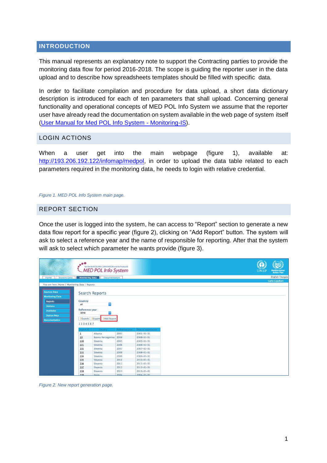#### <span id="page-2-0"></span>**INTRODUCTION**

This manual represents an explanatory note to support the Contracting parties to provide the monitoring data flow for period 2016-2018. The scope is guiding the reporter user in the data upload and to describe how spreadsheets templates should be filled with specific data.

In order to facilitate compilation and procedure for data upload, a short data dictionary description is introduced for each of ten parameters that shall upload. Concerning general functionality and operational concepts of MED POL Info System we assume that the reporter user have already read the documentation on system available in the web page of system itself [\(User Manual for Med POL Info System -](http://193.206.192.122/infomap/medpol/en/documentation/user-manual-for-med-pol-info-system-monitoring-is-intranet/view) Monitoring-IS).

#### <span id="page-2-1"></span>LOGIN ACTIONS

When a user get into the main webpage (figure 1), available at: [http://193.206.192.122/infomap/medpol,](http://193.206.192.122/infomap/medpol) in order to upload the data table related to each parameters required in the monitoring data, he needs to login with relative credential.

#### *Figure 1. MED POL Info System main page.*

#### <span id="page-2-2"></span>REPORT SECTION

Once the user is logged into the system, he can access to "Report" section to generate a new data flow report for a specific year (figure 2), clicking on "Add Report" button. The system will ask to select a reference year and the name of responsible for reporting. After that the system will ask to select which parameter he wants provide (figure 3).

|                                                | $e^{0.0}$      | for the BARCELONA CONVENTION and its Protocols<br>MED POL Info System |                 |                    |  |  |  | <b>UNEI</b> | <b>Mediterranean</b><br>Action Plan |
|------------------------------------------------|----------------|-----------------------------------------------------------------------|-----------------|--------------------|--|--|--|-------------|-------------------------------------|
| Sources Data<br><b>Home</b>                    |                | Monitoring Data Documentation                                         |                 |                    |  |  |  |             | English Français                    |
|                                                |                |                                                                       |                 |                    |  |  |  |             | Carlo Cipolloni                     |
| You are here: Home / Monitoring Data / Reports |                |                                                                       |                 |                    |  |  |  |             |                                     |
| <b>Sources Data</b><br><b>Monitoring Data</b>  |                | <b>Search Reports</b>                                                 |                 |                    |  |  |  |             |                                     |
| <b>Reports</b>                                 | Country        |                                                                       |                 |                    |  |  |  |             |                                     |
| <b>Stations</b>                                | all            | А                                                                     |                 |                    |  |  |  |             |                                     |
| Institutes                                     | Reference year |                                                                       |                 |                    |  |  |  |             |                                     |
|                                                | 2018           |                                                                       |                 |                    |  |  |  |             |                                     |
| <b>Station Map</b>                             |                | Search Export 2Add Report                                             |                 |                    |  |  |  |             |                                     |
| <b>Documentation</b>                           | 1234567        |                                                                       |                 |                    |  |  |  |             |                                     |
|                                                |                |                                                                       |                 |                    |  |  |  |             |                                     |
|                                                | report 10      | Country                                                               | Reference year. | Date of submission |  |  |  |             |                                     |
|                                                | 1              | Albania                                                               | 2001            | 2001-01-31         |  |  |  |             |                                     |
|                                                | 10             | Bosnia Herzegovina 2008                                               |                 | $2008 - 01 - 31$   |  |  |  |             |                                     |
|                                                | 100            | Slovenia                                                              | 2005            | $2005 - 01 - 31$   |  |  |  |             |                                     |
|                                                | 101            | Slovenia                                                              | 2006            | $2006 - 01 - 31$   |  |  |  |             |                                     |
|                                                | 102            | Slovenia                                                              | 2007            | $2007 - 01 - 31$   |  |  |  |             |                                     |
|                                                | 103            | Slovenia                                                              | 2008            | $2008 - 01 - 31$   |  |  |  |             |                                     |
|                                                | 104            | Slovenia                                                              | 2009            | 2009-01-31         |  |  |  |             |                                     |
|                                                | 105            | Slovenia                                                              | 2010            | 2010-01-31         |  |  |  |             |                                     |
|                                                | 106            | Slovenia                                                              | 2011            | 2011-01-31         |  |  |  |             |                                     |
|                                                | 107            | Slovenia                                                              | 2012            | $2012 - 01 - 31$   |  |  |  |             |                                     |
|                                                | 108            | Slovenia                                                              | 2013            | 2013-01-31         |  |  |  |             |                                     |
|                                                | 109            | Smain                                                                 | 2004            | 2004-01-31         |  |  |  |             |                                     |

*Figure 2. New report generation page.*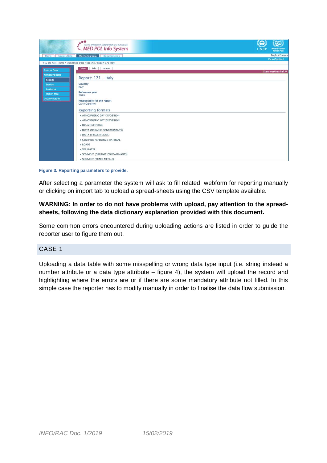

**Figure 3. Reporting parameters to provide.**

After selecting a parameter the system will ask to fill related webform for reporting manually or clicking on import tab to upload a spread-sheets using the CSV template available.

### **WARNING: In order to do not have problems with upload, pay attention to the spreadsheets, following the data dictionary explanation provided with this document.**

Some common errors encountered during uploading actions are listed in order to guide the reporter user to figure them out.

#### <span id="page-3-0"></span>CASE 1

Uploading a data table with some misspelling or wrong data type input (i.e. string instead a number attribute or a data type attribute – figure 4), the system will upload the record and highlighting where the errors are or if there are some mandatory attribute not filled. In this simple case the reporter has to modify manually in order to finalise the data flow submission.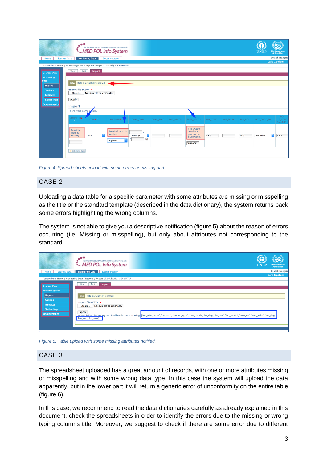| <b>Sources Data</b><br>Home                                                                                                      | $e^{i\theta}$<br>for the BARCELONA CONVENTION and its Protocols<br><b>MED POL Info System</b><br><b>Monitoring Data</b><br><b>Documentation</b>                                                                                                                                                                                                                                 | <b>UNEF</b><br>Mediterranean<br>Action Plan<br><b>English Français</b><br><b>Carlo Cipolloni</b>                                                                                                                                 |
|----------------------------------------------------------------------------------------------------------------------------------|---------------------------------------------------------------------------------------------------------------------------------------------------------------------------------------------------------------------------------------------------------------------------------------------------------------------------------------------------------------------------------|----------------------------------------------------------------------------------------------------------------------------------------------------------------------------------------------------------------------------------|
|                                                                                                                                  | You are here: Home / Monitoring Data / Reports / Report 171-Italy / SEA WATER                                                                                                                                                                                                                                                                                                   |                                                                                                                                                                                                                                  |
| <b>Sources Data</b>                                                                                                              | Edit Import<br><b>View</b>                                                                                                                                                                                                                                                                                                                                                      |                                                                                                                                                                                                                                  |
| <b>Monitoring</b><br>ata<br><b>Reports</b><br><b>Stations</b><br><b>Institutes</b><br><b>Station Map</b><br><b>Documentation</b> | Info Data successfully updated.<br>Import file (CSV) ·<br>Nessun file selezionato.<br>Sfoglia<br>Apply<br>Import<br>There were some of ors.<br>SAMPLE ID.<br>YEAR .<br>STATION .<br>SAMP DATE<br>SAMP TIME<br><b>BOT DEPTH</b><br>Required<br>Required input is<br>input is<br>missing.<br>a<br>$\overline{1}$<br>2008<br>missing.<br>January<br>ű,<br>Alghero<br>Validate data | $PO4-$<br>P_CONC<br>SAMP DEPTH<br>SAM TEMP<br>SAM_SALIN<br>SAM DO<br><b>INST CODE SW</b><br>$(\mu g - A/L)$<br>The system<br>could not<br>process the<br>e<br>0.02<br>11.3<br>12.6<br>No value<br>given value.<br><b>SURFACE</b> |

*Figure 4. Spread-sheets upload with some errors or missing part.*

### <span id="page-4-0"></span>CASE 2

Uploading a data table for a specific parameter with some attributes are missing or misspelling as the title or the standard template (described in the data dictionary), the system returns back some errors highlighting the wrong columns.

The system is not able to give you a descriptive notification (figure 5) about the reason of errors occurring (i.e. Missing or misspelling), but only about attributes not corresponding to the standard.

|                                         | ۰.<br>for the BARCELONA CONVENTION and its Protocols<br>MED POL Info System!"                                                                                                                                               | <b>UNEI</b> | <b>Mediterranean</b><br><b>Action Plan</b> |
|-----------------------------------------|-----------------------------------------------------------------------------------------------------------------------------------------------------------------------------------------------------------------------------|-------------|--------------------------------------------|
| <b>Sources Data</b><br>Home             | <b>Monitoring Data</b> Documentation                                                                                                                                                                                        |             | <b>English Français</b>                    |
|                                         | You are here: Home / Monitoring Data / Reports / Report 172-Albania / SEA WATER                                                                                                                                             |             | <b>Carlo Cipolloni</b>                     |
| Sources Data<br><b>Monitoring Data</b>  | Import<br>Edit  <br><b>View</b>                                                                                                                                                                                             |             |                                            |
| <b>Reports</b><br><b>Stations</b>       | Data successfully updated.<br>Info                                                                                                                                                                                          |             |                                            |
| <b>Institutes</b><br><b>Station Map</b> | Import file $(CSW)$ =<br>Nessun file selezionato.<br>Sfoglia                                                                                                                                                                |             |                                            |
| <b>Documentation</b>                    | Apply<br>, Import failed, Following required headers are missing: ['lon_min', 'area', 'country', 'station_type', 'bot_depth', 'lat_deg', 'lat_sec', 'lon_hemis', 'sam_do', 'sam_salin', 'lon_deg',<br>'lon_sec', 'lat_min'] |             |                                            |
|                                         |                                                                                                                                                                                                                             |             |                                            |

*Figure 5. Table upload with some missing attributes notified.*

#### <span id="page-4-1"></span>CASE 3

The spreadsheet uploaded has a great amount of records, with one or more attributes missing or misspelling and with some wrong data type. In this case the system will upload the data apparently, but in the lower part it will return a generic error of unconformity on the entire table (figure 6).

In this case, we recommend to read the data dictionaries carefully as already explained in this document, check the spreadsheets in order to identify the errors due to the missing or wrong typing columns title. Moreover, we suggest to check if there are some error due to different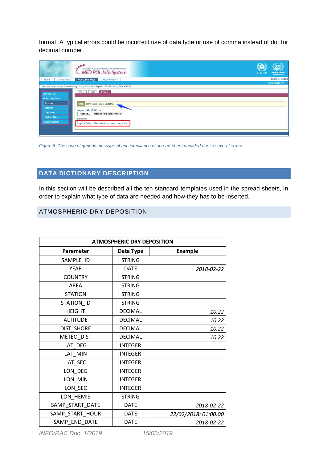format. A typical errors could be incorrect use of data type or use of comma instead of dot for decimal number.

|                        | $00-1$<br>for the BARCELONA CONVENTION and its Protocols<br>MED POL Info System | <b>UNEP</b> | <b>Mediterranean</b><br>Action Plan |
|------------------------|---------------------------------------------------------------------------------|-------------|-------------------------------------|
| Sources Data<br>Home   | <b>Monitoring Data Documentation</b>                                            |             | <b>English Français</b>             |
|                        | You are here: Home / Monitoring Data / Reports / Report 172-Albania / SEA WATER |             | Carlo Cipolloni                     |
| Sources Data           | View Edit Import                                                                |             |                                     |
| <b>Monitoring Data</b> |                                                                                 |             |                                     |
| <b>Reports</b>         | Info<br>Data successfully updated.                                              |             |                                     |
| <b>Stations</b>        | Import file (CSV) $\bullet$                                                     |             |                                     |
| <b>Institutes</b>      | Nessun file selezionato.<br>Sfoglia                                             |             |                                     |
| <b>Station Map</b>     | Anglu                                                                           |             |                                     |
| <b>Documentation</b>   | Import failed. File submitted not compliant                                     |             |                                     |

*Figure 6. The case of generic message of not compliance of spread-sheet provided due to several errors.*

### <span id="page-5-0"></span>**DATA DICTIONARY DESCRIPTION**

In this section will be described all the ten standard templates used in the spread-sheets, in order to explain what type of data are needed and how they has to be inserted.

### <span id="page-5-1"></span>ATMOSPHERIC DRY DEPOSITION

| <b>ATMOSPHERIC DRY DEPOSITION</b> |                |                      |  |
|-----------------------------------|----------------|----------------------|--|
| Parameter                         | Data Type      | <b>Example</b>       |  |
| SAMPLE ID                         | <b>STRING</b>  |                      |  |
| <b>YEAR</b>                       | <b>DATE</b>    | 2018-02-22           |  |
| <b>COUNTRY</b>                    | <b>STRING</b>  |                      |  |
| <b>AREA</b>                       | <b>STRING</b>  |                      |  |
| <b>STATION</b>                    | <b>STRING</b>  |                      |  |
| STATION_ID                        | <b>STRING</b>  |                      |  |
| <b>HEIGHT</b>                     | <b>DECIMAL</b> | 10.22                |  |
| <b>ALTITUDE</b>                   | <b>DECIMAL</b> | 10.22                |  |
| DIST_SHORE                        | <b>DECIMAL</b> | 10.22                |  |
| METEO_DIST                        | <b>DECIMAL</b> | 10.22                |  |
| LAT_DEG                           | <b>INTEGER</b> |                      |  |
| LAT_MIN                           | <b>INTEGER</b> |                      |  |
| LAT_SEC                           | <b>INTEGER</b> |                      |  |
| LON_DEG                           | <b>INTEGER</b> |                      |  |
| LON_MIN                           | <b>INTEGER</b> |                      |  |
| LON_SEC                           | <b>INTEGER</b> |                      |  |
| LON_HEMIS                         | <b>STRING</b>  |                      |  |
| SAMP_START_DATE                   | <b>DATE</b>    | 2018-02-22           |  |
| SAMP_START_HOUR                   | <b>DATE</b>    | 22/02/2018: 01:00:00 |  |
| SAMP_END_DATE                     | <b>DATE</b>    | 2018-02-22           |  |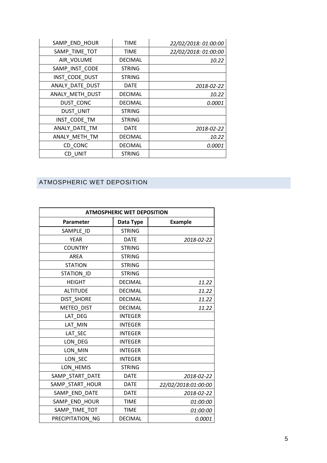| SAMP_END_HOUR   | <b>TIME</b>    | 22/02/2018: 01:00:00 |
|-----------------|----------------|----------------------|
| SAMP_TIME_TOT   | <b>TIME</b>    | 22/02/2018: 01:00:00 |
| AIR VOLUME      | <b>DECIMAL</b> | 10.22                |
| SAMP_INST_CODE  | <b>STRING</b>  |                      |
| INST_CODE_DUST  | <b>STRING</b>  |                      |
| ANALY_DATE_DUST | <b>DATE</b>    | 2018-02-22           |
| ANALY_METH_DUST | <b>DECIMAL</b> | 10.22                |
| DUST CONC       | <b>DECIMAL</b> | 0.0001               |
| DUST_UNIT       | <b>STRING</b>  |                      |
| INST_CODE_TM    | <b>STRING</b>  |                      |
| ANALY_DATE_TM   | <b>DATE</b>    | 2018-02-22           |
| ANALY METH TM   | <b>DECIMAL</b> | 10.22                |
| CD CONC         | <b>DECIMAL</b> | <i>0.0001</i>        |
| CD UNIT         | <b>STRING</b>  |                      |
|                 |                |                      |

### <span id="page-6-0"></span>ATMOSPHERIC WET DEPOSITION

| <b>ATMOSPHERIC WET DEPOSITION</b> |                |                     |  |
|-----------------------------------|----------------|---------------------|--|
| Parameter                         | Data Type      | <b>Example</b>      |  |
| SAMPLE ID                         | <b>STRING</b>  |                     |  |
| <b>YEAR</b>                       | <b>DATE</b>    | 2018-02-22          |  |
| <b>COUNTRY</b>                    | <b>STRING</b>  |                     |  |
| <b>AREA</b>                       | <b>STRING</b>  |                     |  |
| <b>STATION</b>                    | <b>STRING</b>  |                     |  |
| STATION ID                        | <b>STRING</b>  |                     |  |
| <b>HEIGHT</b>                     | <b>DECIMAL</b> | 11.22               |  |
| <b>ALTITUDE</b>                   | <b>DECIMAL</b> | 11.22               |  |
| <b>DIST SHORE</b>                 | <b>DECIMAL</b> | 11.22               |  |
| METEO DIST                        | <b>DECIMAL</b> | 11.22               |  |
| LAT DEG                           | <b>INTEGER</b> |                     |  |
| LAT MIN                           | <b>INTEGER</b> |                     |  |
| LAT_SEC                           | <b>INTEGER</b> |                     |  |
| LON DEG                           | <b>INTEGER</b> |                     |  |
| LON MIN                           | <b>INTEGER</b> |                     |  |
| LON_SEC                           | <b>INTEGER</b> |                     |  |
| LON HEMIS                         | <b>STRING</b>  |                     |  |
| SAMP_START_DATE                   | <b>DATE</b>    | 2018-02-22          |  |
| SAMP_START_HOUR                   | <b>DATE</b>    | 22/02/2018:01:00:00 |  |
| SAMP_END_DATE                     | <b>DATE</b>    | 2018-02-22          |  |
| SAMP_END_HOUR                     | <b>TIME</b>    | 01:00:00            |  |
| SAMP TIME TOT                     | <b>TIME</b>    | 01:00:00            |  |
| PRECIPITATION NG                  | <b>DECIMAL</b> | 0.0001              |  |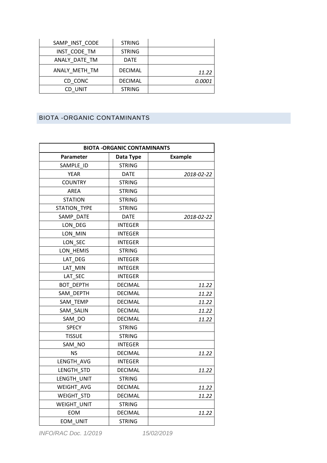| SAMP INST CODE | <b>STRING</b>  |               |
|----------------|----------------|---------------|
| INST CODE TM   | <b>STRING</b>  |               |
| ANALY DATE TM  | <b>DATE</b>    |               |
| ANALY METH TM  | <b>DECIMAL</b> | 11.22         |
| CD CONC        | <b>DECIMAL</b> | <i>0.0001</i> |
| CD UNIT        | <b>STRING</b>  |               |

### <span id="page-7-0"></span>BIOTA -ORGANIC CONTAMINANTS

| <b>BIOTA -ORGANIC CONTAMINANTS</b> |                |                |  |
|------------------------------------|----------------|----------------|--|
| Parameter                          | Data Type      | <b>Example</b> |  |
| SAMPLE ID                          | <b>STRING</b>  |                |  |
| <b>YEAR</b>                        | <b>DATE</b>    | 2018-02-22     |  |
| <b>COUNTRY</b>                     | <b>STRING</b>  |                |  |
| <b>AREA</b>                        | <b>STRING</b>  |                |  |
| <b>STATION</b>                     | <b>STRING</b>  |                |  |
| <b>STATION TYPE</b>                | <b>STRING</b>  |                |  |
| SAMP DATE                          | <b>DATE</b>    | 2018-02-22     |  |
| LON DEG                            | <b>INTEGER</b> |                |  |
| LON MIN                            | <b>INTEGER</b> |                |  |
| LON_SEC                            | <b>INTEGER</b> |                |  |
| LON HEMIS                          | <b>STRING</b>  |                |  |
| LAT_DEG                            | <b>INTEGER</b> |                |  |
| LAT MIN                            | <b>INTEGER</b> |                |  |
| LAT SEC                            | <b>INTEGER</b> |                |  |
| <b>BOT DEPTH</b>                   | <b>DECIMAL</b> | 11.22          |  |
| SAM DEPTH                          | <b>DECIMAL</b> | 11.22          |  |
| SAM_TEMP                           | <b>DECIMAL</b> | 11.22          |  |
| SAM SALIN                          | <b>DECIMAL</b> | 11.22          |  |
| SAM DO                             | <b>DECIMAL</b> | 11.22          |  |
| <b>SPECY</b>                       | <b>STRING</b>  |                |  |
| <b>TISSUE</b>                      | <b>STRING</b>  |                |  |
| SAM NO                             | <b>INTEGER</b> |                |  |
| <b>NS</b>                          | <b>DECIMAL</b> | 11.22          |  |
| LENGTH AVG                         | <b>INTEGER</b> |                |  |
| LENGTH STD                         | <b>DECIMAL</b> | 11.22          |  |
| LENGTH UNIT                        | <b>STRING</b>  |                |  |
| WEIGHT AVG                         | <b>DECIMAL</b> | 11.22          |  |
| <b>WEIGHT STD</b>                  | <b>DECIMAL</b> | 11.22          |  |
| WEIGHT_UNIT                        | <b>STRING</b>  |                |  |
| <b>EOM</b>                         | <b>DECIMAL</b> | 11.22          |  |
| EOM UNIT                           | <b>STRING</b>  |                |  |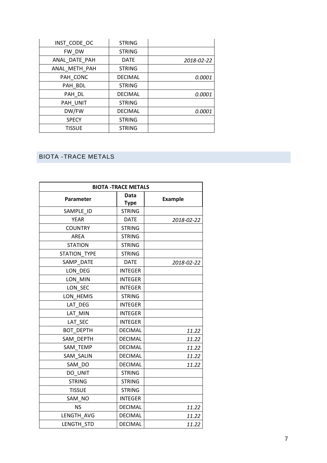| INST_CODE_OC  | <b>STRING</b>  |            |
|---------------|----------------|------------|
| FW DW         | <b>STRING</b>  |            |
| ANAL DATE PAH | <b>DATE</b>    | 2018-02-22 |
| ANAL METH PAH | <b>STRING</b>  |            |
| PAH CONC      | <b>DECIMAL</b> | 0.0001     |
| PAH BDL       | <b>STRING</b>  |            |
| PAH DL        | <b>DECIMAL</b> | 0.0001     |
| PAH_UNIT      | <b>STRING</b>  |            |
| DW/FW         | <b>DECIMAL</b> | 0.0001     |
| <b>SPECY</b>  | <b>STRING</b>  |            |
| <b>TISSUE</b> | <b>STRING</b>  |            |

# <span id="page-8-0"></span>BIOTA -TRACE METALS

| <b>BIOTA -TRACE METALS</b> |                            |                |  |  |
|----------------------------|----------------------------|----------------|--|--|
| <b>Parameter</b>           | <b>Data</b><br><b>Type</b> | <b>Example</b> |  |  |
| SAMPLE ID                  | <b>STRING</b>              |                |  |  |
| <b>YEAR</b>                | <b>DATE</b>                | 2018-02-22     |  |  |
| <b>COUNTRY</b>             | <b>STRING</b>              |                |  |  |
| <b>AREA</b>                | <b>STRING</b>              |                |  |  |
| <b>STATION</b>             | <b>STRING</b>              |                |  |  |
| <b>STATION TYPE</b>        | <b>STRING</b>              |                |  |  |
| SAMP DATE                  | <b>DATE</b>                | 2018-02-22     |  |  |
| LON DEG                    | <b>INTEGER</b>             |                |  |  |
| LON_MIN                    | <b>INTEGER</b>             |                |  |  |
| LON SEC                    | <b>INTEGER</b>             |                |  |  |
| LON_HEMIS                  | <b>STRING</b>              |                |  |  |
| LAT DEG                    | <b>INTEGER</b>             |                |  |  |
| LAT MIN                    | <b>INTEGER</b>             |                |  |  |
| LAT SEC                    | <b>INTEGER</b>             |                |  |  |
| <b>BOT DEPTH</b>           | <b>DECIMAL</b>             | 11.22          |  |  |
| SAM DEPTH                  | <b>DECIMAL</b>             | 11.22          |  |  |
| SAM_TEMP                   | <b>DECIMAL</b>             | 11.22          |  |  |
| SAM_SALIN                  | <b>DECIMAL</b>             | 11.22          |  |  |
| SAM DO                     | <b>DECIMAL</b>             | 11.22          |  |  |
| DO UNIT                    | <b>STRING</b>              |                |  |  |
| <b>STRING</b>              | <b>STRING</b>              |                |  |  |
| <b>TISSUE</b>              | <b>STRING</b>              |                |  |  |
| SAM NO                     | <b>INTEGER</b>             |                |  |  |
| <b>NS</b>                  | <b>DECIMAL</b>             | 11.22          |  |  |
| LENGTH_AVG                 | <b>DECIMAL</b>             | 11.22          |  |  |
| LENGTH STD                 | <b>DECIMAL</b>             | 11.22          |  |  |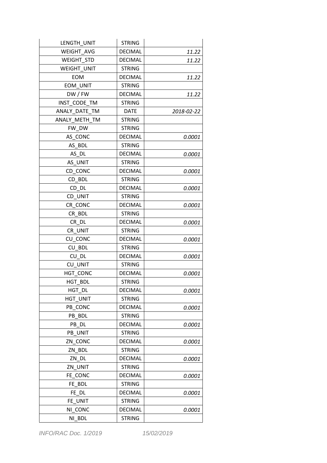| LENGTH UNIT        | <b>STRING</b>  |            |
|--------------------|----------------|------------|
| <b>WEIGHT AVG</b>  | <b>DECIMAL</b> | 11.22      |
| <b>WEIGHT STD</b>  | <b>DECIMAL</b> | 11.22      |
| <b>WEIGHT UNIT</b> | <b>STRING</b>  |            |
| EOM                | <b>DECIMAL</b> | 11.22      |
| EOM UNIT           | <b>STRING</b>  |            |
| DW/FW              | <b>DECIMAL</b> | 11.22      |
| INST CODE TM       | <b>STRING</b>  |            |
| ANALY DATE_TM      | <b>DATE</b>    | 2018-02-22 |
| ANALY METH TM      | <b>STRING</b>  |            |
| FW DW              | <b>STRING</b>  |            |
| AS CONC            | <b>DECIMAL</b> | 0.0001     |
| AS_BDL             | <b>STRING</b>  |            |
| AS DL              | <b>DECIMAL</b> | 0.0001     |
| AS UNIT            | <b>STRING</b>  |            |
| CD CONC            | <b>DECIMAL</b> | 0.0001     |
| CD_BDL             | <b>STRING</b>  |            |
| CD DL              | <b>DECIMAL</b> | 0.0001     |
| CD UNIT            | <b>STRING</b>  |            |
| CR_CONC            | <b>DECIMAL</b> | 0.0001     |
| CR BDL             | <b>STRING</b>  |            |
| CR DL              | <b>DECIMAL</b> | 0.0001     |
| CR UNIT            | <b>STRING</b>  |            |
| CU CONC            | <b>DECIMAL</b> | 0.0001     |
| CU BDL             | <b>STRING</b>  |            |
| CU DL              | <b>DECIMAL</b> | 0.0001     |
| CU UNIT            | <b>STRING</b>  |            |
| HGT CONC           | <b>DECIMAL</b> | 0.0001     |
| HGT BDL            | <b>STRING</b>  |            |
| HGT DL             | <b>DECIMAL</b> | 0.0001     |
| <b>HGT UNIT</b>    | <b>STRING</b>  |            |
| PB CONC            | <b>DECIMAL</b> | 0.0001     |
| PB BDL             | <b>STRING</b>  |            |
| PB DL              | <b>DECIMAL</b> | 0.0001     |
| PB UNIT            | <b>STRING</b>  |            |
| ZN CONC            | <b>DECIMAL</b> | 0.0001     |
| ZN BDL             | <b>STRING</b>  |            |
| ZN DL              | <b>DECIMAL</b> | 0.0001     |
| ZN UNIT            | <b>STRING</b>  |            |
| FE CONC            | <b>DECIMAL</b> | 0.0001     |
| FE BDL             | <b>STRING</b>  |            |
| FE DL              | <b>DECIMAL</b> | 0.0001     |
| FE UNIT            | <b>STRING</b>  |            |
| NI CONC            | <b>DECIMAL</b> | 0.0001     |
| NI BDL             | <b>STRING</b>  |            |

*INFO/RAC Doc. 1/2019 15/02/2019*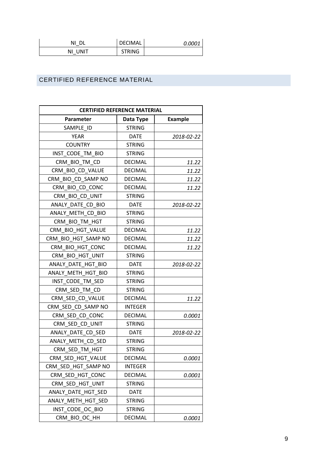| ΝI         | DECIMAL       | <i>0.0001</i> |
|------------|---------------|---------------|
| UNIT<br>ΝI | <b>STRING</b> |               |

### <span id="page-10-0"></span>CERTIFIED REFERENCE MATERIAL

| <b>CERTIFIED REFERENCE MATERIAL</b> |                |                |
|-------------------------------------|----------------|----------------|
| Parameter                           | Data Type      | <b>Example</b> |
| SAMPLE ID                           | <b>STRING</b>  |                |
| YEAR                                | <b>DATE</b>    | 2018-02-22     |
| <b>COUNTRY</b>                      | <b>STRING</b>  |                |
| INST_CODE TM BIO                    | <b>STRING</b>  |                |
| CRM_BIO_TM_CD                       | <b>DECIMAL</b> | 11.22          |
| CRM_BIO_CD_VALUE                    | <b>DECIMAL</b> | 11.22          |
| CRM_BIO_CD_SAMP NO                  | <b>DECIMAL</b> | 11.22          |
| CRM_BIO_CD_CONC                     | <b>DECIMAL</b> | 11.22          |
| CRM BIO CD UNIT                     | <b>STRING</b>  |                |
| ANALY DATE CD BIO                   | <b>DATE</b>    | 2018-02-22     |
| ANALY_METH_CD_BIO                   | <b>STRING</b>  |                |
| CRM BIO TM HGT                      | <b>STRING</b>  |                |
| CRM BIO HGT VALUE                   | <b>DECIMAL</b> | 11.22          |
| CRM BIO HGT SAMP NO                 | <b>DECIMAL</b> | 11.22          |
| CRM BIO HGT CONC                    | <b>DECIMAL</b> | 11.22          |
| CRM BIO HGT UNIT                    | <b>STRING</b>  |                |
| ANALY_DATE_HGT_BIO                  | <b>DATE</b>    | 2018-02-22     |
| ANALY METH HGT BIO                  | <b>STRING</b>  |                |
| INST CODE TM SED                    | <b>STRING</b>  |                |
| CRM_SED_TM_CD                       | <b>STRING</b>  |                |
| CRM SED CD VALUE                    | <b>DECIMAL</b> | 11.22          |
| CRM_SED_CD_SAMP NO                  | <b>INTEGER</b> |                |
| CRM SED CD CONC                     | <b>DECIMAL</b> | 0.0001         |
| CRM SED CD UNIT                     | <b>STRING</b>  |                |
| ANALY_DATE_CD_SED                   | <b>DATE</b>    | 2018-02-22     |
| ANALY_METH_CD_SED                   | <b>STRING</b>  |                |
| CRM SED TM HGT                      | <b>STRING</b>  |                |
| CRM SED HGT VALUE                   | DECIMAL        | 0.0001         |
| CRM SED HGT SAMP NO                 | <b>INTEGER</b> |                |
| CRM SED HGT CONC                    | <b>DECIMAL</b> | 0.0001         |
| CRM SED HGT UNIT                    | <b>STRING</b>  |                |
| ANALY DATE HGT SED                  | <b>DATE</b>    |                |
| ANALY METH_HGT_SED                  | <b>STRING</b>  |                |
| INST_CODE_OC_BIO                    | <b>STRING</b>  |                |
| CRM_BIO_OC_HH                       | <b>DECIMAL</b> | 0.0001         |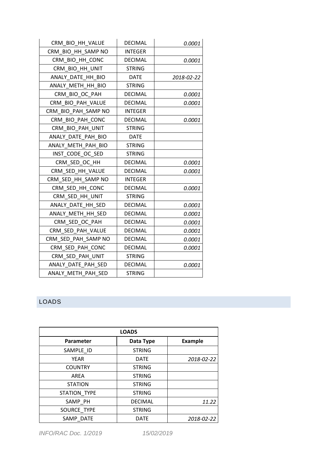| CRM_BIO_HH_VALUE    | <b>DECIMAL</b> | 0.0001     |
|---------------------|----------------|------------|
| CRM_BIO_HH_SAMP NO  | <b>INTEGER</b> |            |
| CRM BIO HH CONC     | <b>DECIMAL</b> | 0.0001     |
| CRM BIO HH UNIT     | <b>STRING</b>  |            |
| ANALY DATE HH BIO   | <b>DATE</b>    | 2018-02-22 |
| ANALY METH HH BIO   | <b>STRING</b>  |            |
| CRM BIO OC PAH      | <b>DECIMAL</b> | 0.0001     |
| CRM BIO PAH VALUE   | <b>DECIMAL</b> | 0.0001     |
| CRM_BIO_PAH_SAMP NO | <b>INTEGER</b> |            |
| CRM BIO PAH CONC    | <b>DECIMAL</b> | 0.0001     |
| CRM_BIO_PAH_UNIT    | <b>STRING</b>  |            |
| ANALY DATE PAH BIO  | <b>DATE</b>    |            |
| ANALY METH PAH BIO  | <b>STRING</b>  |            |
| INST CODE OC SED    | <b>STRING</b>  |            |
| CRM SED OC HH       | <b>DECIMAL</b> | 0.0001     |
| CRM SED HH VALUE    | <b>DECIMAL</b> | 0.0001     |
| CRM SED HH SAMP NO  | <b>INTEGER</b> |            |
| CRM SED HH CONC     | <b>DECIMAL</b> | 0.0001     |
| CRM SED HH UNIT     | <b>STRING</b>  |            |
| ANALY DATE HH SED   | <b>DECIMAL</b> | 0.0001     |
| ANALY METH HH SED   | <b>DECIMAL</b> | 0.0001     |
| CRM_SED_OC_PAH      | <b>DECIMAL</b> | 0.0001     |
| CRM_SED_PAH_VALUE   | <b>DECIMAL</b> | 0.0001     |
| CRM_SED_PAH_SAMP NO | <b>DECIMAL</b> | 0.0001     |
| CRM SED PAH CONC    | <b>DECIMAL</b> | 0.0001     |
| CRM_SED_PAH_UNIT    | <b>STRING</b>  |            |
| ANALY DATE PAH SED  | <b>DECIMAL</b> | 0.0001     |
| ANALY METH PAH SED  | <b>STRING</b>  |            |

## <span id="page-11-0"></span>LOADS

| <b>LOADS</b>   |                |                |
|----------------|----------------|----------------|
| Parameter      | Data Type      | <b>Example</b> |
| SAMPLE ID      | <b>STRING</b>  |                |
| <b>YEAR</b>    | <b>DATE</b>    | 2018-02-22     |
| <b>COUNTRY</b> | <b>STRING</b>  |                |
| <b>AREA</b>    | <b>STRING</b>  |                |
| <b>STATION</b> | <b>STRING</b>  |                |
| STATION TYPE   | <b>STRING</b>  |                |
| SAMP PH        | <b>DECIMAL</b> | 11.22          |
| SOURCE TYPE    | <b>STRING</b>  |                |
| SAMP DATE      | <b>DATE</b>    | 2018-02-22     |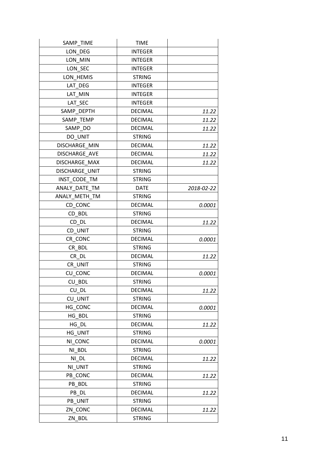| SAMP_TIME      | <b>TIME</b>    |            |
|----------------|----------------|------------|
| LON_DEG        | <b>INTEGER</b> |            |
| LON MIN        | <b>INTEGER</b> |            |
| LON_SEC        | <b>INTEGER</b> |            |
| LON HEMIS      | <b>STRING</b>  |            |
| LAT DEG        | <b>INTEGER</b> |            |
| LAT_MIN        | <b>INTEGER</b> |            |
| LAT_SEC        | <b>INTEGER</b> |            |
| SAMP DEPTH     | <b>DECIMAL</b> | 11.22      |
| SAMP_TEMP      | <b>DECIMAL</b> | 11.22      |
| SAMP_DO        | <b>DECIMAL</b> | 11.22      |
| DO UNIT        | <b>STRING</b>  |            |
| DISCHARGE MIN  | <b>DECIMAL</b> | 11.22      |
| DISCHARGE_AVE  | <b>DECIMAL</b> | 11.22      |
| DISCHARGE MAX  | <b>DECIMAL</b> | 11.22      |
| DISCHARGE UNIT | <b>STRING</b>  |            |
| INST CODE TM   | <b>STRING</b>  |            |
| ANALY DATE TM  | <b>DATE</b>    | 2018-02-22 |
| ANALY METH TM  | <b>STRING</b>  |            |
| CD_CONC        | <b>DECIMAL</b> | 0.0001     |
| CD BDL         | <b>STRING</b>  |            |
| CD DL          | <b>DECIMAL</b> | 11.22      |
| CD UNIT        | <b>STRING</b>  |            |
| CR CONC        | <b>DECIMAL</b> | 0.0001     |
| CR BDL         | <b>STRING</b>  |            |
| CR DL          | <b>DECIMAL</b> | 11.22      |
| CR UNIT        | <b>STRING</b>  |            |
| CU CONC        | <b>DECIMAL</b> | 0.0001     |
| CU BDL         | <b>STRING</b>  |            |
| CU_DL          | <b>DECIMAL</b> | 11.22      |
| CU UNIT        | <b>STRING</b>  |            |
| HG CONC        | <b>DECIMAL</b> | 0.0001     |
| HG BDL         | <b>STRING</b>  |            |
| HG DL          | <b>DECIMAL</b> | 11.22      |
| HG UNIT        | <b>STRING</b>  |            |
| NI CONC        | <b>DECIMAL</b> | 0.0001     |
| NI BDL         | <b>STRING</b>  |            |
| NI DL          | <b>DECIMAL</b> | 11.22      |
| NI UNIT        | <b>STRING</b>  |            |
| PB CONC        | <b>DECIMAL</b> | 11.22      |
| PB BDL         | <b>STRING</b>  |            |
| PB DL          | <b>DECIMAL</b> | 11.22      |
| PB_UNIT        | <b>STRING</b>  |            |
| ZN CONC        | <b>DECIMAL</b> | 11.22      |
| ZN BDL         | <b>STRING</b>  |            |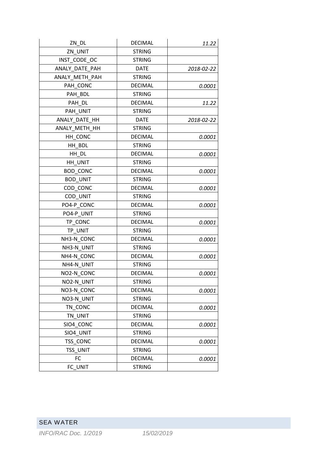<span id="page-13-0"></span>

| ZN DL           | <b>DECIMAL</b> | 11.22      |
|-----------------|----------------|------------|
| ZN UNIT         | <b>STRING</b>  |            |
| INST CODE OC    | <b>STRING</b>  |            |
| ANALY DATE PAH  | DATE           | 2018-02-22 |
| ANALY METH PAH  | <b>STRING</b>  |            |
| PAH CONC        | <b>DECIMAL</b> | 0.0001     |
| PAH BDL         | <b>STRING</b>  |            |
| PAH DL          | <b>DECIMAL</b> | 11.22      |
| PAH UNIT        | <b>STRING</b>  |            |
| ANALY DATE HH   | <b>DATE</b>    | 2018-02-22 |
| ANALY METH HH   | <b>STRING</b>  |            |
| HH CONC         | <b>DECIMAL</b> | 0.0001     |
| HH BDL          | <b>STRING</b>  |            |
| HH DL           | <b>DECIMAL</b> | 0.0001     |
| HH UNIT         | <b>STRING</b>  |            |
| <b>BOD CONC</b> | <b>DECIMAL</b> | 0.0001     |
| <b>BOD_UNIT</b> | <b>STRING</b>  |            |
| COD_CONC        | <b>DECIMAL</b> | 0.0001     |
| COD UNIT        | <b>STRING</b>  |            |
| PO4-P CONC      | <b>DECIMAL</b> | 0.0001     |
| PO4-P UNIT      | <b>STRING</b>  |            |
| TP CONC         | <b>DECIMAL</b> | 0.0001     |
| TP UNIT         | <b>STRING</b>  |            |
| NH3-N_CONC      | <b>DECIMAL</b> | 0.0001     |
| NH3-N UNIT      | <b>STRING</b>  |            |
| NH4-N CONC      | <b>DECIMAL</b> | 0.0001     |
| NH4-N UNIT      | <b>STRING</b>  |            |
| NO2-N CONC      | <b>DECIMAL</b> | 0.0001     |
| NO2-N UNIT      | <b>STRING</b>  |            |
| NO3-N CONC      | <b>DECIMAL</b> | 0.0001     |
| NO3-N UNIT      | <b>STRING</b>  |            |
| TN CONC         | <b>DECIMAL</b> | 0.0001     |
| TN UNIT         | <b>STRING</b>  |            |
| SIO4 CONC       | <b>DECIMAL</b> | 0.0001     |
| SIO4 UNIT       | <b>STRING</b>  |            |
| TSS CONC        | <b>DECIMAL</b> | 0.0001     |
| TSS UNIT        | <b>STRING</b>  |            |
| FC              | <b>DECIMAL</b> | 0.0001     |
| FC UNIT         | <b>STRING</b>  |            |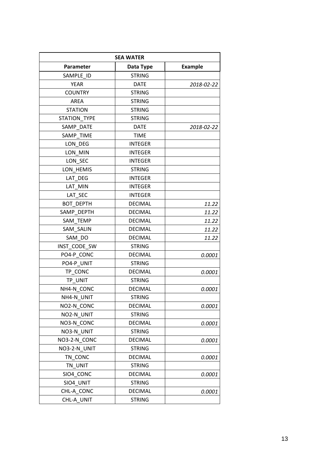| <b>SEA WATER</b>    |                |                |
|---------------------|----------------|----------------|
| <b>Parameter</b>    | Data Type      | <b>Example</b> |
| SAMPLE ID           | <b>STRING</b>  |                |
| <b>YEAR</b>         | <b>DATE</b>    | 2018-02-22     |
| <b>COUNTRY</b>      | <b>STRING</b>  |                |
| <b>AREA</b>         | <b>STRING</b>  |                |
| <b>STATION</b>      | <b>STRING</b>  |                |
| <b>STATION TYPE</b> | <b>STRING</b>  |                |
| SAMP DATE           | <b>DATE</b>    | 2018-02-22     |
| SAMP TIME           | <b>TIME</b>    |                |
| LON DEG             | <b>INTEGER</b> |                |
| LON MIN             | <b>INTEGER</b> |                |
| LON_SEC             | <b>INTEGER</b> |                |
| LON HEMIS           | <b>STRING</b>  |                |
| LAT DEG             | <b>INTEGER</b> |                |
| LAT MIN             | <b>INTEGER</b> |                |
| LAT SEC             | <b>INTEGER</b> |                |
| <b>BOT DEPTH</b>    | <b>DECIMAL</b> | 11.22          |
| SAMP_DEPTH          | <b>DECIMAL</b> | 11.22          |
| SAM_TEMP            | <b>DECIMAL</b> | 11.22          |
| SAM SALIN           | <b>DECIMAL</b> | 11.22          |
| SAM DO              | <b>DECIMAL</b> | 11.22          |
| INST CODE SW        | <b>STRING</b>  |                |
| PO4-P CONC          | <b>DECIMAL</b> | 0.0001         |
| PO4-P UNIT          | <b>STRING</b>  |                |
| TP CONC             | <b>DECIMAL</b> | 0.0001         |
| TP UNIT             | <b>STRING</b>  |                |
| NH4-N CONC          | <b>DECIMAL</b> | 0.0001         |
| NH4-N_UNIT          | <b>STRING</b>  |                |
| NO2-N CONC          | <b>DECIMAL</b> | 0.0001         |
| NO2-N UNIT          | <b>STRING</b>  |                |
| NO3-N CONC          | <b>DECIMAL</b> | 0.0001         |
| NO3-N UNIT          | <b>STRING</b>  |                |
| NO3-2-N CONC        | <b>DECIMAL</b> | 0.0001         |
| NO3-2-N UNIT        | <b>STRING</b>  |                |
| TN CONC             | <b>DECIMAL</b> | 0.0001         |
| TN UNIT             | <b>STRING</b>  |                |
| SIO4 CONC           | <b>DECIMAL</b> | 0.0001         |
| SIO4 UNIT           | <b>STRING</b>  |                |
| CHL-A CONC          | <b>DECIMAL</b> | 0.0001         |
| CHL-A UNIT          | <b>STRING</b>  |                |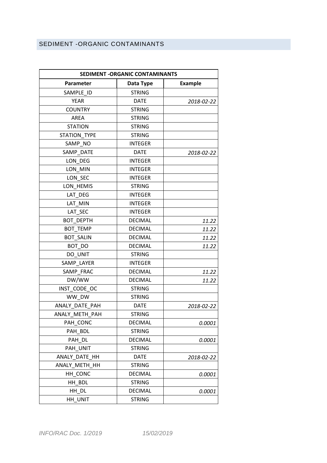### <span id="page-15-0"></span>SEDIMENT -ORGANIC CONTAMINANTS

| SEDIMENT - ORGANIC CONTAMINANTS |                |                |
|---------------------------------|----------------|----------------|
| Parameter                       | Data Type      | <b>Example</b> |
| SAMPLE ID                       | <b>STRING</b>  |                |
| <b>YEAR</b>                     | <b>DATE</b>    | 2018-02-22     |
| <b>COUNTRY</b>                  | <b>STRING</b>  |                |
| AREA                            | <b>STRING</b>  |                |
| <b>STATION</b>                  | <b>STRING</b>  |                |
| <b>STATION TYPE</b>             | <b>STRING</b>  |                |
| SAMP NO                         | <b>INTEGER</b> |                |
| SAMP DATE                       | <b>DATE</b>    | 2018-02-22     |
| LON DEG                         | <b>INTEGER</b> |                |
| LON MIN                         | <b>INTEGER</b> |                |
| LON_SEC                         | <b>INTEGER</b> |                |
| LON HEMIS                       | <b>STRING</b>  |                |
| LAT DEG                         | <b>INTEGER</b> |                |
| LAT MIN                         | <b>INTEGER</b> |                |
| LAT SEC                         | <b>INTEGER</b> |                |
| BOT DEPTH                       | <b>DECIMAL</b> | 11.22          |
| <b>BOT TEMP</b>                 | <b>DECIMAL</b> | 11.22          |
| <b>BOT_SALIN</b>                | <b>DECIMAL</b> | 11.22          |
| BOT_DO                          | <b>DECIMAL</b> | 11.22          |
| DO UNIT                         | <b>STRING</b>  |                |
| SAMP LAYER                      | <b>INTEGER</b> |                |
| SAMP FRAC                       | <b>DECIMAL</b> | 11.22          |
| DW/WW                           | <b>DECIMAL</b> | 11.22          |
| INST_CODE_OC                    | <b>STRING</b>  |                |
| WW DW                           | <b>STRING</b>  |                |
| ANALY DATE PAH                  | <b>DATE</b>    | 2018-02-22     |
| ANALY_METH_PAH                  | <b>STRING</b>  |                |
| PAH CONC                        | <b>DECIMAL</b> | 0.0001         |
| PAH BDL                         | <b>STRING</b>  |                |
| PAH DL                          | DECIMAL        | 0.0001         |
| PAH_UNIT                        | <b>STRING</b>  |                |
| ANALY DATE HH                   | <b>DATE</b>    | 2018-02-22     |
| ANALY METH HH                   | <b>STRING</b>  |                |
| HH CONC                         | <b>DECIMAL</b> | 0.0001         |
| HH BDL                          | <b>STRING</b>  |                |
| HH_DL                           | <b>DECIMAL</b> | 0.0001         |
| HH UNIT                         | <b>STRING</b>  |                |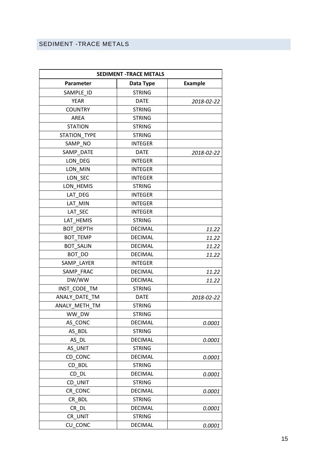# <span id="page-16-0"></span>SEDIMENT -TRACE METALS

| <b>SEDIMENT -TRACE METALS</b> |                |                |
|-------------------------------|----------------|----------------|
| Parameter                     | Data Type      | <b>Example</b> |
| SAMPLE ID                     | <b>STRING</b>  |                |
| <b>YEAR</b>                   | <b>DATE</b>    | 2018-02-22     |
| <b>COUNTRY</b>                | <b>STRING</b>  |                |
| AREA                          | <b>STRING</b>  |                |
| <b>STATION</b>                | <b>STRING</b>  |                |
| <b>STATION TYPE</b>           | <b>STRING</b>  |                |
| SAMP_NO                       | <b>INTEGER</b> |                |
| SAMP_DATE                     | <b>DATE</b>    | 2018-02-22     |
| LON DEG                       | <b>INTEGER</b> |                |
| LON MIN                       | <b>INTEGER</b> |                |
| LON_SEC                       | <b>INTEGER</b> |                |
| LON HEMIS                     | <b>STRING</b>  |                |
| LAT DEG                       | <b>INTEGER</b> |                |
| LAT MIN                       | <b>INTEGER</b> |                |
| LAT SEC                       | <b>INTEGER</b> |                |
| LAT HEMIS                     | <b>STRING</b>  |                |
| <b>BOT DEPTH</b>              | <b>DECIMAL</b> | 11.22          |
| <b>BOT TEMP</b>               | <b>DECIMAL</b> | 11.22          |
| <b>BOT SALIN</b>              | <b>DECIMAL</b> | 11.22          |
| BOT DO                        | <b>DECIMAL</b> | 11.22          |
| SAMP LAYER                    | <b>INTEGER</b> |                |
| SAMP FRAC                     | <b>DECIMAL</b> | 11.22          |
| DW/WW                         | <b>DECIMAL</b> | 11.22          |
| INST CODE TM                  | <b>STRING</b>  |                |
| ANALY DATE TM                 | <b>DATE</b>    | 2018-02-22     |
| ANALY_METH_TM                 | <b>STRING</b>  |                |
| WW_DW                         | <b>STRING</b>  |                |
| AS_CONC                       | <b>DECIMAL</b> | 0.0001         |
| AS BDL                        | <b>STRING</b>  |                |
| AS DL                         | <b>DECIMAL</b> | 0.0001         |
| AS UNIT                       | <b>STRING</b>  |                |
| CD CONC                       | <b>DECIMAL</b> | 0.0001         |
| CD BDL                        | <b>STRING</b>  |                |
| CD DL                         | <b>DECIMAL</b> | 0.0001         |
| CD_UNIT                       | <b>STRING</b>  |                |
| CR CONC                       | <b>DECIMAL</b> | 0.0001         |
| CR_BDL                        | <b>STRING</b>  |                |
| CR DL                         | <b>DECIMAL</b> | 0.0001         |
| CR UNIT                       | <b>STRING</b>  |                |
| CU_CONC                       | <b>DECIMAL</b> | 0.0001         |